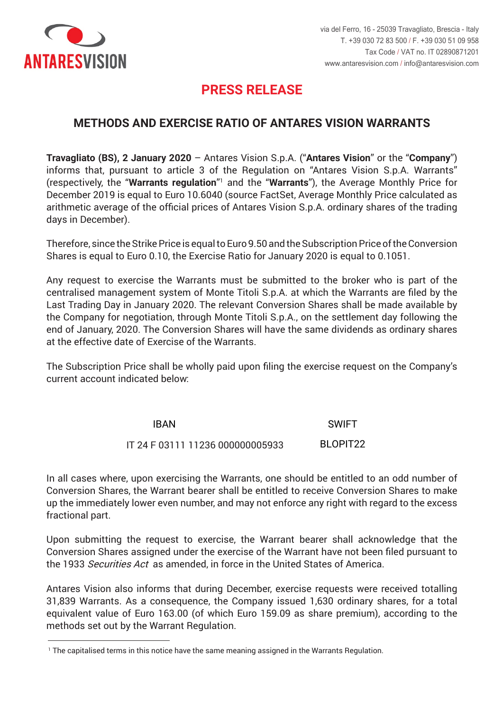

-

# **PRESS RELEASE PRESS RELEASE**

### **METHODS AND EXERCISE RATIO OF ANTARES VISION WARRANTS**

Travagliato (BS), 2 January 2020 - Antares Vision S.p.A. ("Antares Vision" or the "Company") informs that, pursuant to article 3 of the Regulation on "Antares Vision S.p.A. Warrants" (respectively, the "Warrants regulation"<sup>1</sup> and the "Warrants"), the Average Monthly Price for December 2019 is equal to Euro 10.6040 (source FactSet, Average Monthly Price calculated as arithmetic average of the official prices of Antares Vision S.p.A. ordinary shares of the trading days in December). The discussion of the discussion of the discussion of the discussion of the discussion of the discussion of the discussion of the discussion of the discussion of the discussion of the discussion of the d

Therefore, since the Strike Price is equal to Euro 9.50 and the Subscription Price of the Conversion Shares is equal to Euro 0.10, the Exercise Ratio for January 2020 is equal to 0.1051.

centralised management system of Monte Titoli S.p.A. at which the Warrants are filed by the Last Trading Day in January 2020. The relevant Conversion Shares shall be made available by the Company for negotiation, through Monte Titoli S.p.A., on the settlement day following the end of January, 2020. The Conversion Shares will have the same dividends as ordinary shares at the effective date of Exercise of the Warrants. Any request to exercise the Warrants must be submitted to the broker who is part of the

The Subscription Price shall be wholly paid upon filing the exercise request on the Company's current account indicated below:

> IBAN SWIFT IT 24 F 03111 11236 000000005933 BLOPIT22 IT 24 F 03111 11236 000000005933

In all cases where, upon exercising the Warrants, one should be entitled to an odd number of Conversion Shares, the Warrant bearer shall be entitled to receive Conversion Shares to make up the immediately lower even number, and may not enforce any right with regard to the excess con riferimento alla parte frazionaria eccedente. fractional part.

Upon submitting the request to exercise, the Warrant bearer shall acknowledge that the Conversion Shares assigned under the exercise of the Warrant have not been filed pursuant to the 1933 *Securities Act* as amended, in force in the United States of America.

Antares Vision also informs that during December, exercise requests were received totalling 31,839 Warrants. As a consequence, the Company issued 1,630 ordinary shares, for a total equivalent value of Euro 163.00 (of which Euro 159.09 as share premium), according to the nethods set out by the Warrant Regulation.

<sup>&</sup>lt;sup>1</sup> The capitalised terms in this notice have the same meaning assigned in the Warrants Regulation.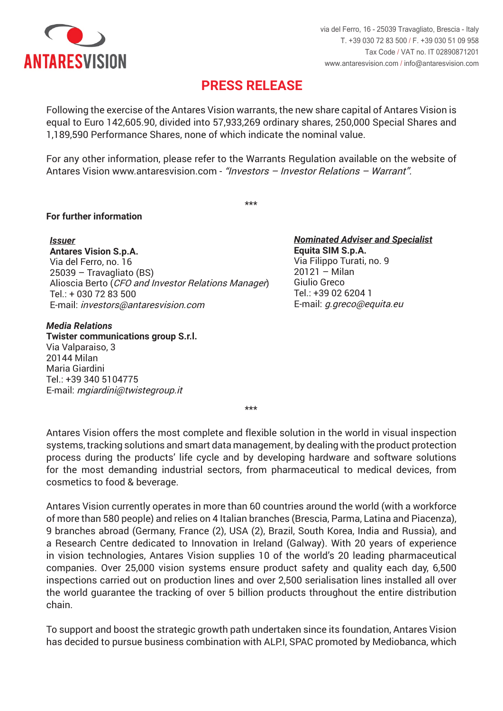

### **PRESS RELEASE PRESS RELEASE**

Following the exercise of the Antares Vision warrants, the new share capital of Antares Vision is equal to Euro 142,605.90, divided into 57,933,269 ordinary shares, 250,000 Special Shares and 1,189,590 Performance Shares, none of which indicate the nominal value.

Antares Vision www.antaresvision.com - "Investors – Investor Relations – Warrant". For any other information, please refer to the Warrants Regulation available on the website of

\*\*\* \*\*\*

### **Per maggiori informazioni For further information**

*Emittente Issuer* **Antares Vision S.p.A. Antares Vision S.p.A.**  Via del Ferro, no. 16 25039 – Travagliato (BS) 25039 – Travagliato (BS) Alioscia Berto (*CFO and Investor Relations Manager*) Tel.: + 030 72 83 500 Tel.: + 030 72 83 500 E-mail: *investors@antaresvision.com* E-mail: investors@antaresvision.com

#### *Media Relations Media Relations*

**Twister communications group S.r.l. Twister communications group S.r.l.**  Via Valparaiso, 3 Via Valparaiso, 3 20144 Milan Maria Giardini Maria Giardini Tel.: +39 340 5104775 Tel.: +39 340 5104775 E-mail: *mgiardini@twistegroup.it* E-mail: mgiardini@twistegroup.it

*Nominated Adviser e Specialista Nominated Adviser and Specialist* **Equita SIM S.p.A. Equita SIM S.p.A.**  Via Filippo Turati, no. 9 20121 - Milan er) Giulio Greco  $T$ el.: +39 02 6204 1 E-mail: *g.greco@equita.eu* E-mail: g.greco@equita.eu

\*\*\* \*\*\*

Antares Vision offers the most complete and flexible solution in the world in visual inspection systems, tracking solutions and smart data management, by dealing with the product protection process during the products' life cycle and by developing hardware and software solutions for the most demanding industrial sectors, from pharmaceutical to medical devices, from cosmetics to food & beverage.

Antares Vision currently operates in more than 60 countries around the world (with a workforce of more than 580 people) and relies on 4 Italian branches (Brescia, Parma, Latina and Piacenza), 9 branches abroad (Germany, France (2), USA (2), Brazil, South Korea, India and Russia), and a Research Centre dedicated to Innovation in Ireland (Galway). With 20 years of experience in vision technologies, Antares Vision supplies 10 of the world's 20 leading pharmaceutical companies. Over 25,000 vision systems ensure product safety and quality each day, 6,500 inspections carried out on production lines and over 2,500 serialisation lines installed all over the world guarantee the tracking of over 5 billion products throughout the entire distribution tutta la filiera distributiva di oltre 5 miliardi di oltre 5 miliardi di prodotti. Sed oltre 5 miliardi di pro<br>Sed oltre 5 miliardi di prodotti di prodotti di prodotti di prodotti di prodotti di prodotti di prodotti di pr chain.

To support and boost the strategic growth path undertaken since its foundation, Antares Vision has decided to pursue business combination with ALP.I, SPAC promoted by Mediobanca, which